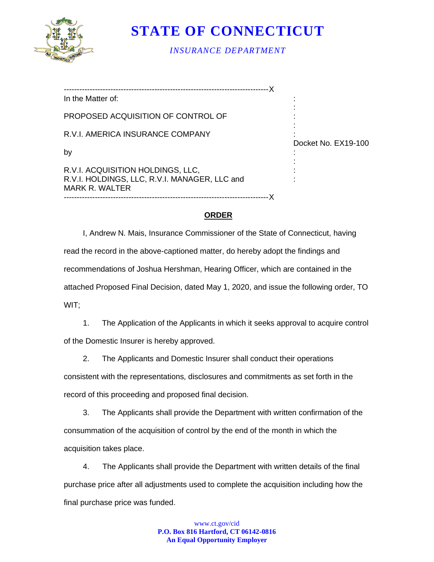

**STATE OF CONNECTICUT**

*INSURANCE DEPARTMENT*

| In the Matter of:                                                                                           |                     |
|-------------------------------------------------------------------------------------------------------------|---------------------|
| PROPOSED ACQUISITION OF CONTROL OF                                                                          |                     |
| R.V.I. AMERICA INSURANCE COMPANY                                                                            |                     |
| by                                                                                                          | Docket No. EX19-100 |
| R.V.I. ACQUISITION HOLDINGS, LLC,<br>R.V.I. HOLDINGS, LLC, R.V.I. MANAGER, LLC and<br><b>MARK R. WALTER</b> |                     |
|                                                                                                             |                     |

# **ORDER**

I, Andrew N. Mais, Insurance Commissioner of the State of Connecticut, having read the record in the above-captioned matter, do hereby adopt the findings and recommendations of Joshua Hershman, Hearing Officer, which are contained in the attached Proposed Final Decision, dated May 1, 2020, and issue the following order, TO WIT;

1. The Application of the Applicants in which it seeks approval to acquire control of the Domestic Insurer is hereby approved.

2. The Applicants and Domestic Insurer shall conduct their operations

consistent with the representations, disclosures and commitments as set forth in the record of this proceeding and proposed final decision.

3. The Applicants shall provide the Department with written confirmation of the consummation of the acquisition of control by the end of the month in which the acquisition takes place.

4. The Applicants shall provide the Department with written details of the final purchase price after all adjustments used to complete the acquisition including how the final purchase price was funded.

> www.ct.gov/cid **P.O. Box 816 Hartford, CT 06142-0816 An Equal Opportunity Employer**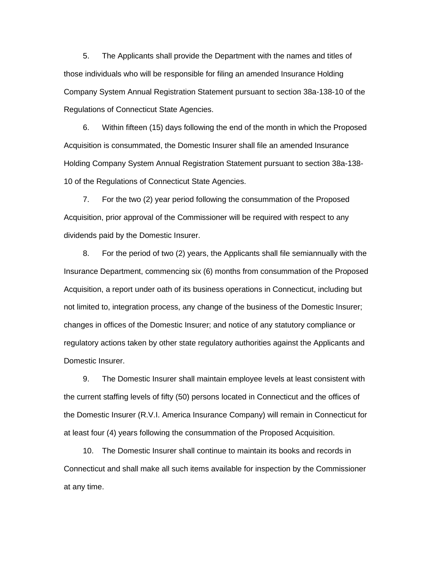5. The Applicants shall provide the Department with the names and titles of those individuals who will be responsible for filing an amended Insurance Holding Company System Annual Registration Statement pursuant to section 38a-138-10 of the Regulations of Connecticut State Agencies.

6. Within fifteen (15) days following the end of the month in which the Proposed Acquisition is consummated, the Domestic Insurer shall file an amended Insurance Holding Company System Annual Registration Statement pursuant to section 38a-138- 10 of the Regulations of Connecticut State Agencies.

7. For the two (2) year period following the consummation of the Proposed Acquisition, prior approval of the Commissioner will be required with respect to any dividends paid by the Domestic Insurer.

8. For the period of two (2) years, the Applicants shall file semiannually with the Insurance Department, commencing six (6) months from consummation of the Proposed Acquisition, a report under oath of its business operations in Connecticut, including but not limited to, integration process, any change of the business of the Domestic Insurer; changes in offices of the Domestic Insurer; and notice of any statutory compliance or regulatory actions taken by other state regulatory authorities against the Applicants and Domestic Insurer.

9. The Domestic Insurer shall maintain employee levels at least consistent with the current staffing levels of fifty (50) persons located in Connecticut and the offices of the Domestic Insurer (R.V.I. America Insurance Company) will remain in Connecticut for at least four (4) years following the consummation of the Proposed Acquisition.

10. The Domestic Insurer shall continue to maintain its books and records in Connecticut and shall make all such items available for inspection by the Commissioner at any time.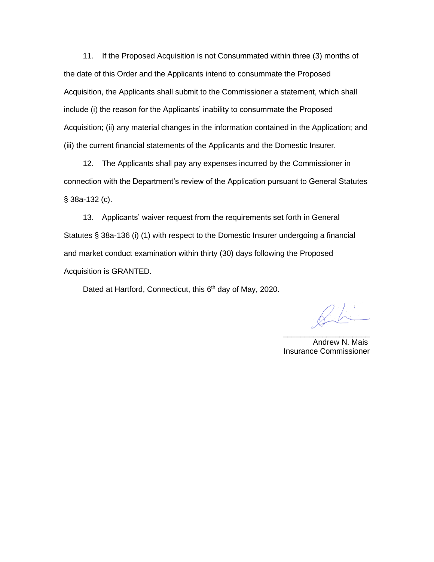11. If the Proposed Acquisition is not Consummated within three (3) months of the date of this Order and the Applicants intend to consummate the Proposed Acquisition, the Applicants shall submit to the Commissioner a statement, which shall include (i) the reason for the Applicants' inability to consummate the Proposed Acquisition; (ii) any material changes in the information contained in the Application; and (iii) the current financial statements of the Applicants and the Domestic Insurer.

12. The Applicants shall pay any expenses incurred by the Commissioner in connection with the Department's review of the Application pursuant to General Statutes § 38a-132 (c).

13. Applicants' waiver request from the requirements set forth in General Statutes § 38a-136 (i) (1) with respect to the Domestic Insurer undergoing a financial and market conduct examination within thirty (30) days following the Proposed Acquisition is GRANTED.

Dated at Hartford, Connecticut, this 6<sup>th</sup> day of May, 2020.

\_\_\_\_\_\_\_\_\_\_\_\_\_\_\_\_\_\_\_\_ Andrew N. Mais Insurance Commissioner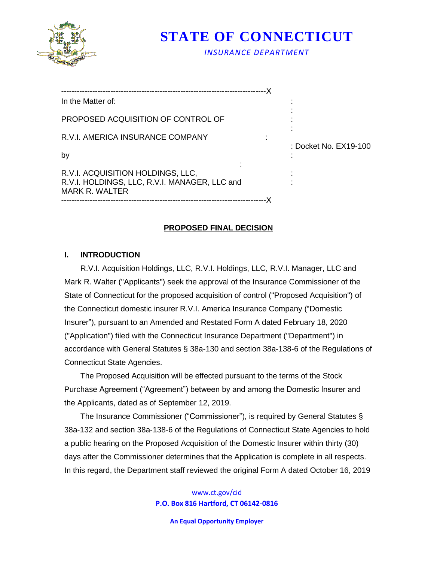

**STATE OF CONNECTICUT**

*INSURANCE DEPARTMENT*

| In the Matter of:                                                                                    |                       |
|------------------------------------------------------------------------------------------------------|-----------------------|
| PROPOSED ACQUISITION OF CONTROL OF                                                                   |                       |
| R.V.I. AMERICA INSURANCE COMPANY                                                                     | : Docket No. EX19-100 |
| by                                                                                                   |                       |
| R.V.I. ACQUISITION HOLDINGS, LLC,<br>R.V.I. HOLDINGS, LLC, R.V.I. MANAGER, LLC and<br>MARK R. WALTER |                       |
|                                                                                                      |                       |

# **PROPOSED FINAL DECISION**

# **I. INTRODUCTION**

R.V.I. Acquisition Holdings, LLC, R.V.I. Holdings, LLC, R.V.I. Manager, LLC and Mark R. Walter ("Applicants") seek the approval of the Insurance Commissioner of the State of Connecticut for the proposed acquisition of control ("Proposed Acquisition") of the Connecticut domestic insurer R.V.I. America Insurance Company ("Domestic Insurer"), pursuant to an Amended and Restated Form A dated February 18, 2020 ("Application") filed with the Connecticut Insurance Department ("Department") in accordance with General Statutes § 38a-130 and section 38a-138-6 of the Regulations of Connecticut State Agencies.

 The Proposed Acquisition will be effected pursuant to the terms of the Stock Purchase Agreement ("Agreement") between by and among the Domestic Insurer and the Applicants, dated as of September 12, 2019.

 The Insurance Commissioner ("Commissioner"), is required by General Statutes § 38a-132 and section 38a-138-6 of the Regulations of Connecticut State Agencies to hold a public hearing on the Proposed Acquisition of the Domestic Insurer within thirty (30) days after the Commissioner determines that the Application is complete in all respects. In this regard, the Department staff reviewed the original Form A dated October 16, 2019

> www.ct.gov/cid **P.O. Box 816 Hartford, CT 06142-0816**

> > **An Equal Opportunity Employer**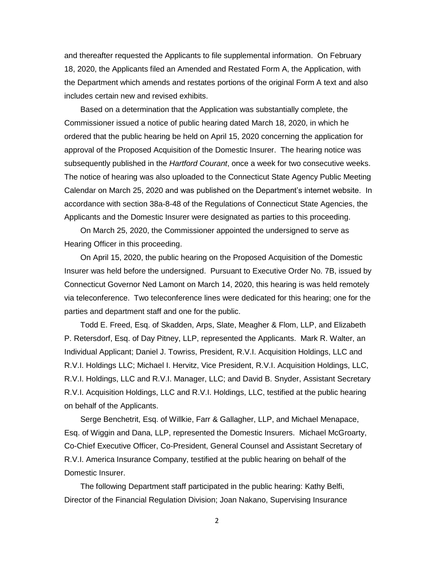and thereafter requested the Applicants to file supplemental information. On February 18, 2020, the Applicants filed an Amended and Restated Form A, the Application, with the Department which amends and restates portions of the original Form A text and also includes certain new and revised exhibits.

 Based on a determination that the Application was substantially complete, the Commissioner issued a notice of public hearing dated March 18, 2020, in which he ordered that the public hearing be held on April 15, 2020 concerning the application for approval of the Proposed Acquisition of the Domestic Insurer. The hearing notice was subsequently published in the *Hartford Courant*, once a week for two consecutive weeks. The notice of hearing was also uploaded to the Connecticut State Agency Public Meeting Calendar on March 25, 2020 and was published on the Department's internet website. In accordance with section 38a-8-48 of the Regulations of Connecticut State Agencies, the Applicants and the Domestic Insurer were designated as parties to this proceeding.

 On March 25, 2020, the Commissioner appointed the undersigned to serve as Hearing Officer in this proceeding.

 On April 15, 2020, the public hearing on the Proposed Acquisition of the Domestic Insurer was held before the undersigned. Pursuant to Executive Order No. 7B, issued by Connecticut Governor Ned Lamont on March 14, 2020, this hearing is was held remotely via teleconference. Two teleconference lines were dedicated for this hearing; one for the parties and department staff and one for the public.

 Todd E. Freed, Esq. of Skadden, Arps, Slate, Meagher & Flom, LLP, and Elizabeth P. Retersdorf, Esq. of Day Pitney, LLP, represented the Applicants. Mark R. Walter, an Individual Applicant; Daniel J. Towriss, President, R.V.I. Acquisition Holdings, LLC and R.V.I. Holdings LLC; Michael I. Hervitz, Vice President, R.V.I. Acquisition Holdings, LLC, R.V.I. Holdings, LLC and R.V.I. Manager, LLC; and David B. Snyder, Assistant Secretary R.V.I. Acquisition Holdings, LLC and R.V.I. Holdings, LLC, testified at the public hearing on behalf of the Applicants.

Serge Benchetrit, Esq. of Willkie, Farr & Gallagher, LLP, and Michael Menapace, Esq. of Wiggin and Dana, LLP, represented the Domestic Insurers. Michael McGroarty, Co-Chief Executive Officer, Co-President, General Counsel and Assistant Secretary of R.V.I. America Insurance Company, testified at the public hearing on behalf of the Domestic Insurer.

 The following Department staff participated in the public hearing: Kathy Belfi, Director of the Financial Regulation Division; Joan Nakano, Supervising Insurance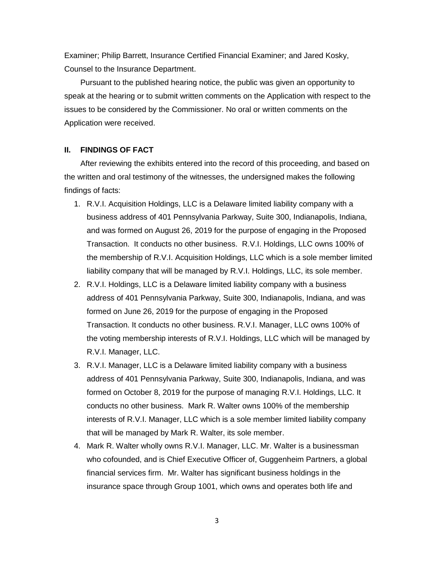Examiner; Philip Barrett, Insurance Certified Financial Examiner; and Jared Kosky, Counsel to the Insurance Department.

 Pursuant to the published hearing notice, the public was given an opportunity to speak at the hearing or to submit written comments on the Application with respect to the issues to be considered by the Commissioner. No oral or written comments on the Application were received.

### **II. FINDINGS OF FACT**

 After reviewing the exhibits entered into the record of this proceeding, and based on the written and oral testimony of the witnesses, the undersigned makes the following findings of facts:

- 1. R.V.I. Acquisition Holdings, LLC is a Delaware limited liability company with a business address of 401 Pennsylvania Parkway, Suite 300, Indianapolis, Indiana, and was formed on August 26, 2019 for the purpose of engaging in the Proposed Transaction. It conducts no other business. R.V.I. Holdings, LLC owns 100% of the membership of R.V.I. Acquisition Holdings, LLC which is a sole member limited liability company that will be managed by R.V.I. Holdings, LLC, its sole member.
- 2. R.V.I. Holdings, LLC is a Delaware limited liability company with a business address of 401 Pennsylvania Parkway, Suite 300, Indianapolis, Indiana, and was formed on June 26, 2019 for the purpose of engaging in the Proposed Transaction. It conducts no other business. R.V.I. Manager, LLC owns 100% of the voting membership interests of R.V.I. Holdings, LLC which will be managed by R.V.I. Manager, LLC.
- 3. R.V.I. Manager, LLC is a Delaware limited liability company with a business address of 401 Pennsylvania Parkway, Suite 300, Indianapolis, Indiana, and was formed on October 8, 2019 for the purpose of managing R.V.I. Holdings, LLC. It conducts no other business. Mark R. Walter owns 100% of the membership interests of R.V.I. Manager, LLC which is a sole member limited liability company that will be managed by Mark R. Walter, its sole member.
- 4. Mark R. Walter wholly owns R.V.I. Manager, LLC. Mr. Walter is a businessman who cofounded, and is Chief Executive Officer of, Guggenheim Partners, a global financial services firm. Mr. Walter has significant business holdings in the insurance space through Group 1001, which owns and operates both life and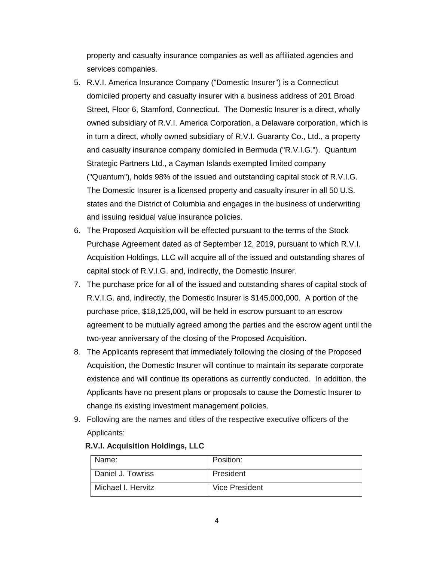property and casualty insurance companies as well as affiliated agencies and services companies.

- 5. R.V.I. America Insurance Company ("Domestic Insurer") is a Connecticut domiciled property and casualty insurer with a business address of 201 Broad Street, Floor 6, Stamford, Connecticut. The Domestic Insurer is a direct, wholly owned subsidiary of R.V.I. America Corporation, a Delaware corporation, which is in turn a direct, wholly owned subsidiary of R.V.I. Guaranty Co., Ltd., a property and casualty insurance company domiciled in Bermuda ("R.V.I.G."). Quantum Strategic Partners Ltd., a Cayman Islands exempted limited company ("Quantum"), holds 98% of the issued and outstanding capital stock of R.V.I.G. The Domestic Insurer is a licensed property and casualty insurer in all 50 U.S. states and the District of Columbia and engages in the business of underwriting and issuing residual value insurance policies.
- 6. The Proposed Acquisition will be effected pursuant to the terms of the Stock Purchase Agreement dated as of September 12, 2019, pursuant to which R.V.I. Acquisition Holdings, LLC will acquire all of the issued and outstanding shares of capital stock of R.V.I.G. and, indirectly, the Domestic Insurer.
- 7. The purchase price for all of the issued and outstanding shares of capital stock of R.V.I.G. and, indirectly, the Domestic Insurer is \$145,000,000. A portion of the purchase price, \$18,125,000, will be held in escrow pursuant to an escrow agreement to be mutually agreed among the parties and the escrow agent until the two-year anniversary of the closing of the Proposed Acquisition.
- 8. The Applicants represent that immediately following the closing of the Proposed Acquisition, the Domestic Insurer will continue to maintain its separate corporate existence and will continue its operations as currently conducted. In addition, the Applicants have no present plans or proposals to cause the Domestic Insurer to change its existing investment management policies.
- 9. Following are the names and titles of the respective executive officers of the Applicants:

| Name:              | Position:      |
|--------------------|----------------|
| Daniel J. Towriss  | President      |
| Michael I. Hervitz | Vice President |

# **R.V.I. Acquisition Holdings, LLC**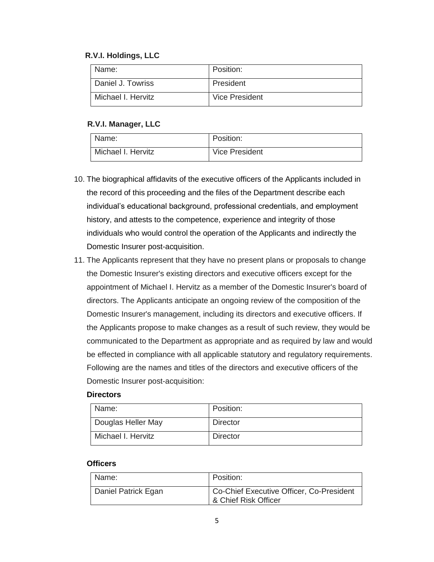# **R.V.I. Holdings, LLC**

| Name:              | Position:      |
|--------------------|----------------|
| Daniel J. Towriss  | President      |
| Michael I. Hervitz | Vice President |

# **R.V.I. Manager, LLC**

| Name:              | Position:             |
|--------------------|-----------------------|
| Michael I. Hervitz | <b>Vice President</b> |

- 10. The biographical affidavits of the executive officers of the Applicants included in the record of this proceeding and the files of the Department describe each individual's educational background, professional credentials, and employment history, and attests to the competence, experience and integrity of those individuals who would control the operation of the Applicants and indirectly the Domestic Insurer post-acquisition.
- 11. The Applicants represent that they have no present plans or proposals to change the Domestic Insurer's existing directors and executive officers except for the appointment of Michael I. Hervitz as a member of the Domestic Insurer's board of directors. The Applicants anticipate an ongoing review of the composition of the Domestic Insurer's management, including its directors and executive officers. If the Applicants propose to make changes as a result of such review, they would be communicated to the Department as appropriate and as required by law and would be effected in compliance with all applicable statutory and regulatory requirements. Following are the names and titles of the directors and executive officers of the Domestic Insurer post-acquisition:

### **Directors**

| Name:              | Position:       |
|--------------------|-----------------|
| Douglas Heller May | <b>Director</b> |
| Michael I. Hervitz | <b>Director</b> |

# **Officers**

| Name:               | Position:                                                        |
|---------------------|------------------------------------------------------------------|
| Daniel Patrick Egan | Co-Chief Executive Officer, Co-President<br>& Chief Risk Officer |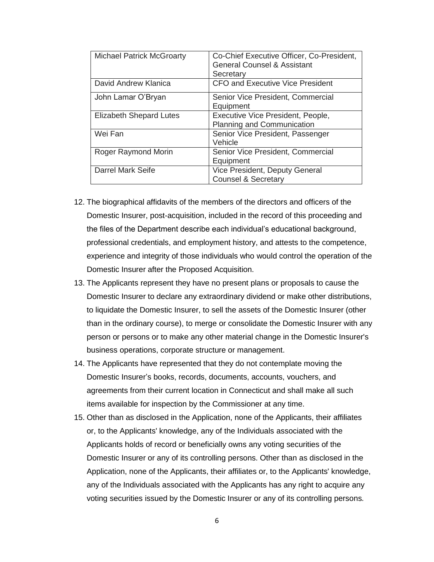| <b>Michael Patrick McGroarty</b> | Co-Chief Executive Officer, Co-President,<br><b>General Counsel &amp; Assistant</b><br>Secretary |
|----------------------------------|--------------------------------------------------------------------------------------------------|
| David Andrew Klanica             | <b>CFO and Executive Vice President</b>                                                          |
| John Lamar O'Bryan               | Senior Vice President, Commercial<br>Equipment                                                   |
| Elizabeth Shepard Lutes          | Executive Vice President, People,<br>Planning and Communication                                  |
| Wei Fan                          | Senior Vice President, Passenger<br>Vehicle                                                      |
| Roger Raymond Morin              | Senior Vice President, Commercial<br>Equipment                                                   |
| <b>Darrel Mark Seife</b>         | Vice President, Deputy General<br><b>Counsel &amp; Secretary</b>                                 |

- 12. The biographical affidavits of the members of the directors and officers of the Domestic Insurer, post-acquisition, included in the record of this proceeding and the files of the Department describe each individual's educational background, professional credentials, and employment history, and attests to the competence, experience and integrity of those individuals who would control the operation of the Domestic Insurer after the Proposed Acquisition.
- 13. The Applicants represent they have no present plans or proposals to cause the Domestic Insurer to declare any extraordinary dividend or make other distributions, to liquidate the Domestic Insurer, to sell the assets of the Domestic Insurer (other than in the ordinary course), to merge or consolidate the Domestic Insurer with any person or persons or to make any other material change in the Domestic Insurer's business operations, corporate structure or management.
- 14. The Applicants have represented that they do not contemplate moving the Domestic Insurer's books, records, documents, accounts, vouchers, and agreements from their current location in Connecticut and shall make all such items available for inspection by the Commissioner at any time.
- 15. Other than as disclosed in the Application, none of the Applicants, their affiliates or, to the Applicants' knowledge, any of the Individuals associated with the Applicants holds of record or beneficially owns any voting securities of the Domestic Insurer or any of its controlling persons. Other than as disclosed in the Application, none of the Applicants, their affiliates or, to the Applicants' knowledge, any of the Individuals associated with the Applicants has any right to acquire any voting securities issued by the Domestic Insurer or any of its controlling persons*.*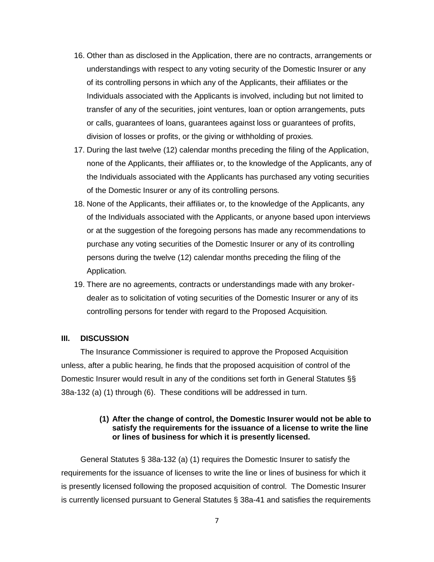- 16. Other than as disclosed in the Application, there are no contracts, arrangements or understandings with respect to any voting security of the Domestic Insurer or any of its controlling persons in which any of the Applicants, their affiliates or the Individuals associated with the Applicants is involved, including but not limited to transfer of any of the securities, joint ventures, loan or option arrangements, puts or calls, guarantees of loans, guarantees against loss or guarantees of profits, division of losses or profits, or the giving or withholding of proxies*.*
- 17. During the last twelve (12) calendar months preceding the filing of the Application, none of the Applicants, their affiliates or, to the knowledge of the Applicants, any of the Individuals associated with the Applicants has purchased any voting securities of the Domestic Insurer or any of its controlling persons*.*
- 18. None of the Applicants, their affiliates or, to the knowledge of the Applicants, any of the Individuals associated with the Applicants, or anyone based upon interviews or at the suggestion of the foregoing persons has made any recommendations to purchase any voting securities of the Domestic Insurer or any of its controlling persons during the twelve (12) calendar months preceding the filing of the Application*.*
- 19. There are no agreements, contracts or understandings made with any brokerdealer as to solicitation of voting securities of the Domestic Insurer or any of its controlling persons for tender with regard to the Proposed Acquisition*.*

### **III. DISCUSSION**

The Insurance Commissioner is required to approve the Proposed Acquisition unless, after a public hearing, he finds that the proposed acquisition of control of the Domestic Insurer would result in any of the conditions set forth in General Statutes §§ 38a-132 (a) (1) through (6). These conditions will be addressed in turn.

#### **(1) After the change of control, the Domestic Insurer would not be able to satisfy the requirements for the issuance of a license to write the line or lines of business for which it is presently licensed.**

General Statutes § 38a-132 (a) (1) requires the Domestic Insurer to satisfy the requirements for the issuance of licenses to write the line or lines of business for which it is presently licensed following the proposed acquisition of control. The Domestic Insurer is currently licensed pursuant to General Statutes § 38a-41 and satisfies the requirements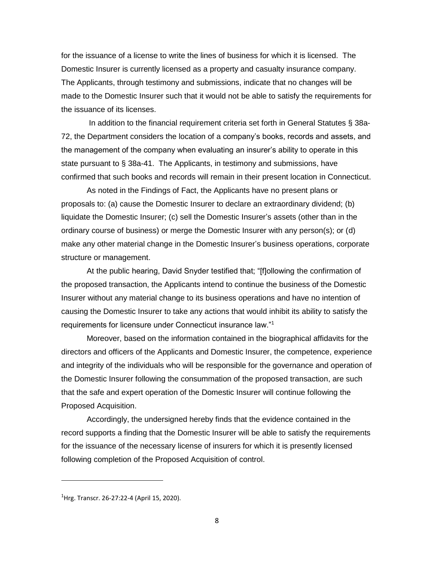for the issuance of a license to write the lines of business for which it is licensed. The Domestic Insurer is currently licensed as a property and casualty insurance company. The Applicants, through testimony and submissions, indicate that no changes will be made to the Domestic Insurer such that it would not be able to satisfy the requirements for the issuance of its licenses.

In addition to the financial requirement criteria set forth in General Statutes § 38a-72, the Department considers the location of a company's books, records and assets, and the management of the company when evaluating an insurer's ability to operate in this state pursuant to § 38a-41. The Applicants, in testimony and submissions, have confirmed that such books and records will remain in their present location in Connecticut.

As noted in the Findings of Fact, the Applicants have no present plans or proposals to: (a) cause the Domestic Insurer to declare an extraordinary dividend; (b) liquidate the Domestic Insurer; (c) sell the Domestic Insurer's assets (other than in the ordinary course of business) or merge the Domestic Insurer with any person(s); or (d) make any other material change in the Domestic Insurer's business operations, corporate structure or management.

At the public hearing, David Snyder testified that; "[f]ollowing the confirmation of the proposed transaction, the Applicants intend to continue the business of the Domestic Insurer without any material change to its business operations and have no intention of causing the Domestic Insurer to take any actions that would inhibit its ability to satisfy the requirements for licensure under Connecticut insurance law."<sup>1</sup>

Moreover, based on the information contained in the biographical affidavits for the directors and officers of the Applicants and Domestic Insurer, the competence, experience and integrity of the individuals who will be responsible for the governance and operation of the Domestic Insurer following the consummation of the proposed transaction, are such that the safe and expert operation of the Domestic Insurer will continue following the Proposed Acquisition.

Accordingly, the undersigned hereby finds that the evidence contained in the record supports a finding that the Domestic Insurer will be able to satisfy the requirements for the issuance of the necessary license of insurers for which it is presently licensed following completion of the Proposed Acquisition of control.

 $\overline{a}$ 

8

 $<sup>1</sup>$ Hrg. Transcr. 26-27:22-4 (April 15, 2020).</sup>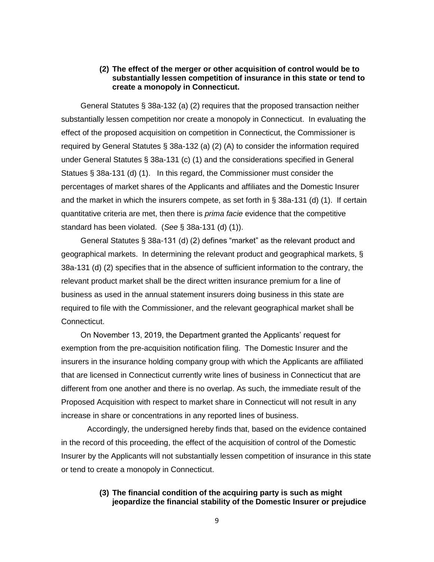### **(2) The effect of the merger or other acquisition of control would be to substantially lessen competition of insurance in this state or tend to create a monopoly in Connecticut.**

General Statutes § 38a-132 (a) (2) requires that the proposed transaction neither substantially lessen competition nor create a monopoly in Connecticut. In evaluating the effect of the proposed acquisition on competition in Connecticut, the Commissioner is required by General Statutes § 38a-132 (a) (2) (A) to consider the information required under General Statutes § 38a-131 (c) (1) and the considerations specified in General Statues § 38a-131 (d) (1). In this regard, the Commissioner must consider the percentages of market shares of the Applicants and affiliates and the Domestic Insurer and the market in which the insurers compete, as set forth in § 38a-131 (d) (1). If certain quantitative criteria are met, then there is *prima facie* evidence that the competitive standard has been violated. (*See* § 38a-131 (d) (1)).

General Statutes § 38a-131 (d) (2) defines "market" as the relevant product and geographical markets. In determining the relevant product and geographical markets, § 38a-131 (d) (2) specifies that in the absence of sufficient information to the contrary, the relevant product market shall be the direct written insurance premium for a line of business as used in the annual statement insurers doing business in this state are required to file with the Commissioner, and the relevant geographical market shall be Connecticut.

On November 13, 2019, the Department granted the Applicants' request for exemption from the pre-acquisition notification filing. The Domestic Insurer and the insurers in the insurance holding company group with which the Applicants are affiliated that are licensed in Connecticut currently write lines of business in Connecticut that are different from one another and there is no overlap. As such, the immediate result of the Proposed Acquisition with respect to market share in Connecticut will not result in any increase in share or concentrations in any reported lines of business.

Accordingly, the undersigned hereby finds that, based on the evidence contained in the record of this proceeding, the effect of the acquisition of control of the Domestic Insurer by the Applicants will not substantially lessen competition of insurance in this state or tend to create a monopoly in Connecticut.

# **(3) The financial condition of the acquiring party is such as might jeopardize the financial stability of the Domestic Insurer or prejudice**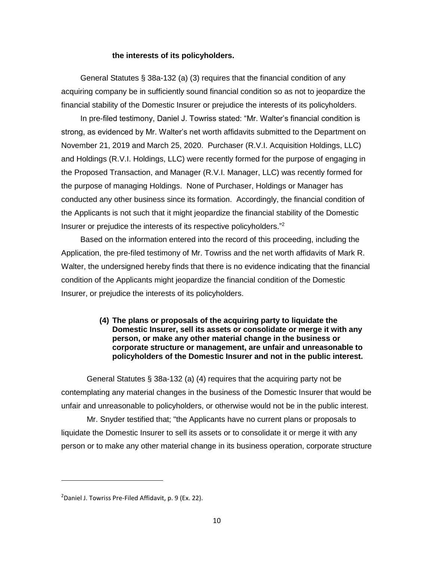#### **the interests of its policyholders.**

General Statutes § 38a-132 (a) (3) requires that the financial condition of any acquiring company be in sufficiently sound financial condition so as not to jeopardize the financial stability of the Domestic Insurer or prejudice the interests of its policyholders.

In pre-filed testimony, Daniel J. Towriss stated: "Mr. Walter's financial condition is strong, as evidenced by Mr. Walter's net worth affidavits submitted to the Department on November 21, 2019 and March 25, 2020. Purchaser (R.V.I. Acquisition Holdings, LLC) and Holdings (R.V.I. Holdings, LLC) were recently formed for the purpose of engaging in the Proposed Transaction, and Manager (R.V.I. Manager, LLC) was recently formed for the purpose of managing Holdings. None of Purchaser, Holdings or Manager has conducted any other business since its formation. Accordingly, the financial condition of the Applicants is not such that it might jeopardize the financial stability of the Domestic Insurer or prejudice the interests of its respective policyholders."<sup>2</sup>

Based on the information entered into the record of this proceeding, including the Application, the pre-filed testimony of Mr. Towriss and the net worth affidavits of Mark R. Walter, the undersigned hereby finds that there is no evidence indicating that the financial condition of the Applicants might jeopardize the financial condition of the Domestic Insurer, or prejudice the interests of its policyholders.

### **(4) The plans or proposals of the acquiring party to liquidate the Domestic Insurer, sell its assets or consolidate or merge it with any person, or make any other material change in the business or corporate structure or management, are unfair and unreasonable to policyholders of the Domestic Insurer and not in the public interest.**

General Statutes § 38a-132 (a) (4) requires that the acquiring party not be contemplating any material changes in the business of the Domestic Insurer that would be unfair and unreasonable to policyholders, or otherwise would not be in the public interest.

Mr. Snyder testified that; "the Applicants have no current plans or proposals to liquidate the Domestic Insurer to sell its assets or to consolidate it or merge it with any person or to make any other material change in its business operation, corporate structure

<sup>&</sup>lt;sup>2</sup>Daniel J. Towriss Pre-Filed Affidavit, p. 9 (Ex. 22).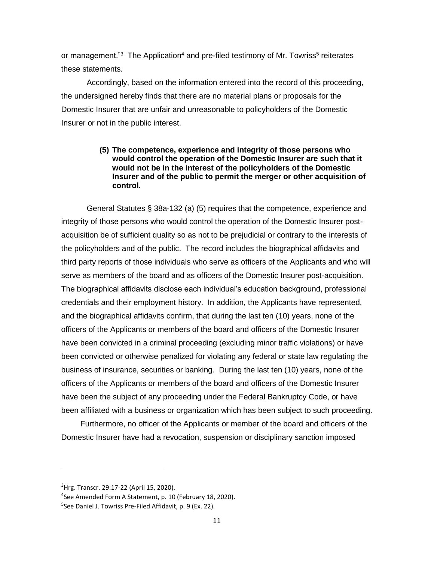or management."<sup>3</sup> The Application<sup>4</sup> and pre-filed testimony of Mr. Towriss<sup>5</sup> reiterates these statements.

Accordingly, based on the information entered into the record of this proceeding, the undersigned hereby finds that there are no material plans or proposals for the Domestic Insurer that are unfair and unreasonable to policyholders of the Domestic Insurer or not in the public interest.

### **(5) The competence, experience and integrity of those persons who would control the operation of the Domestic Insurer are such that it would not be in the interest of the policyholders of the Domestic Insurer and of the public to permit the merger or other acquisition of control.**

General Statutes § 38a-132 (a) (5) requires that the competence, experience and integrity of those persons who would control the operation of the Domestic Insurer postacquisition be of sufficient quality so as not to be prejudicial or contrary to the interests of the policyholders and of the public. The record includes the biographical affidavits and third party reports of those individuals who serve as officers of the Applicants and who will serve as members of the board and as officers of the Domestic Insurer post-acquisition. The biographical affidavits disclose each individual's education background, professional credentials and their employment history. In addition, the Applicants have represented, and the biographical affidavits confirm, that during the last ten (10) years, none of the officers of the Applicants or members of the board and officers of the Domestic Insurer have been convicted in a criminal proceeding (excluding minor traffic violations) or have been convicted or otherwise penalized for violating any federal or state law regulating the business of insurance, securities or banking. During the last ten (10) years, none of the officers of the Applicants or members of the board and officers of the Domestic Insurer have been the subject of any proceeding under the Federal Bankruptcy Code, or have been affiliated with a business or organization which has been subject to such proceeding.

Furthermore, no officer of the Applicants or member of the board and officers of the Domestic Insurer have had a revocation, suspension or disciplinary sanction imposed

<sup>&</sup>lt;sup>3</sup>Hrg. Transcr. 29:17-22 (April 15, 2020).

<sup>4</sup> See Amended Form A Statement, p. 10 (February 18, 2020).

<sup>5</sup> See Daniel J. Towriss Pre-Filed Affidavit, p. 9 (Ex. 22).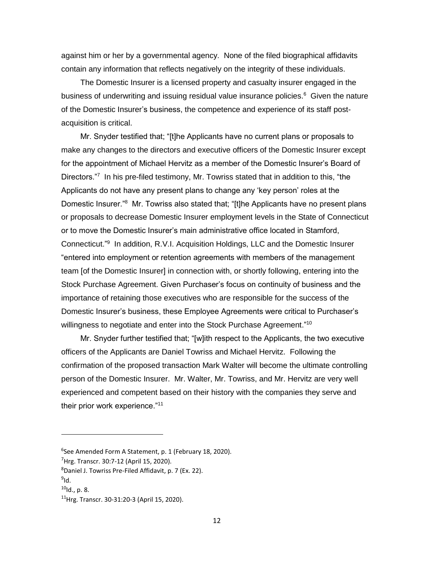against him or her by a governmental agency. None of the filed biographical affidavits contain any information that reflects negatively on the integrity of these individuals.

The Domestic Insurer is a licensed property and casualty insurer engaged in the business of underwriting and issuing residual value insurance policies.<sup>6</sup> Given the nature of the Domestic Insurer's business, the competence and experience of its staff postacquisition is critical.

Mr. Snyder testified that; "[t]he Applicants have no current plans or proposals to make any changes to the directors and executive officers of the Domestic Insurer except for the appointment of Michael Hervitz as a member of the Domestic Insurer's Board of Directors."<sup>7</sup> In his pre-filed testimony, Mr. Towriss stated that in addition to this, "the Applicants do not have any present plans to change any 'key person' roles at the Domestic Insurer."<sup>8</sup> Mr. Towriss also stated that; "[t]he Applicants have no present plans or proposals to decrease Domestic Insurer employment levels in the State of Connecticut or to move the Domestic Insurer's main administrative office located in Stamford, Connecticut."<sup>9</sup> In addition, R.V.I. Acquisition Holdings, LLC and the Domestic Insurer "entered into employment or retention agreements with members of the management team [of the Domestic Insurer] in connection with, or shortly following, entering into the Stock Purchase Agreement. Given Purchaser's focus on continuity of business and the importance of retaining those executives who are responsible for the success of the Domestic Insurer's business, these Employee Agreements were critical to Purchaser's willingness to negotiate and enter into the Stock Purchase Agreement."<sup>10</sup>

Mr. Snyder further testified that; "[w]ith respect to the Applicants, the two executive officers of the Applicants are Daniel Towriss and Michael Hervitz. Following the confirmation of the proposed transaction Mark Walter will become the ultimate controlling person of the Domestic Insurer. Mr. Walter, Mr. Towriss, and Mr. Hervitz are very well experienced and competent based on their history with the companies they serve and their prior work experience."<sup>11</sup>

<sup>6</sup> See Amended Form A Statement, p. 1 (February 18, 2020).

 $7$ Hrg. Transcr. 30:7-12 (April 15, 2020).

 $8$ Daniel J. Towriss Pre-Filed Affidavit, p. 7 (Ex. 22).

<sup>&</sup>lt;sup>9</sup>ld.

 $10$ Id., p. 8.

<sup>11</sup>Hrg. Transcr. 30-31:20-3 (April 15, 2020).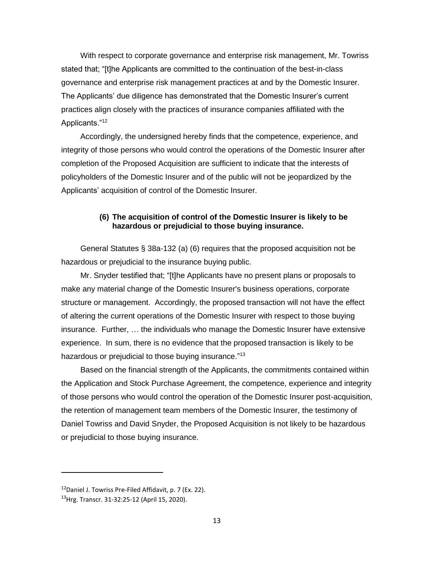With respect to corporate governance and enterprise risk management, Mr. Towriss stated that; "[t]he Applicants are committed to the continuation of the best-in-class governance and enterprise risk management practices at and by the Domestic Insurer. The Applicants' due diligence has demonstrated that the Domestic Insurer's current practices align closely with the practices of insurance companies affiliated with the Applicants."<sup>12</sup>

Accordingly, the undersigned hereby finds that the competence, experience, and integrity of those persons who would control the operations of the Domestic Insurer after completion of the Proposed Acquisition are sufficient to indicate that the interests of policyholders of the Domestic Insurer and of the public will not be jeopardized by the Applicants' acquisition of control of the Domestic Insurer.

### **(6) The acquisition of control of the Domestic Insurer is likely to be hazardous or prejudicial to those buying insurance.**

General Statutes § 38a-132 (a) (6) requires that the proposed acquisition not be hazardous or prejudicial to the insurance buying public.

Mr. Snyder testified that; "[t]he Applicants have no present plans or proposals to make any material change of the Domestic Insurer's business operations, corporate structure or management. Accordingly, the proposed transaction will not have the effect of altering the current operations of the Domestic Insurer with respect to those buying insurance. Further, … the individuals who manage the Domestic Insurer have extensive experience. In sum, there is no evidence that the proposed transaction is likely to be hazardous or prejudicial to those buying insurance."<sup>13</sup>

Based on the financial strength of the Applicants, the commitments contained within the Application and Stock Purchase Agreement, the competence, experience and integrity of those persons who would control the operation of the Domestic Insurer post-acquisition, the retention of management team members of the Domestic Insurer, the testimony of Daniel Towriss and David Snyder, the Proposed Acquisition is not likely to be hazardous or prejudicial to those buying insurance.

 $12$ Daniel J. Towriss Pre-Filed Affidavit, p. 7 (Ex. 22).

<sup>13</sup>Hrg. Transcr. 31-32:25-12 (April 15, 2020).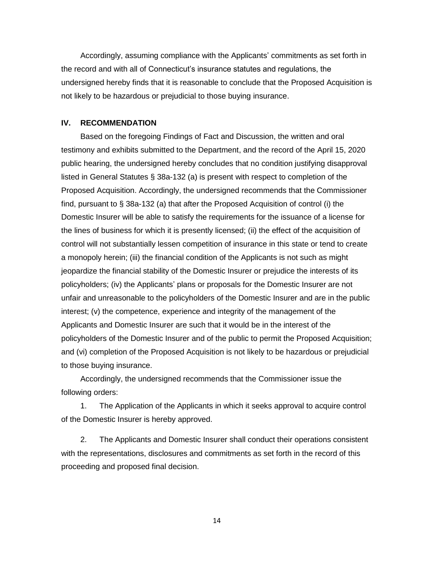Accordingly, assuming compliance with the Applicants' commitments as set forth in the record and with all of Connecticut's insurance statutes and regulations, the undersigned hereby finds that it is reasonable to conclude that the Proposed Acquisition is not likely to be hazardous or prejudicial to those buying insurance.

#### **IV. RECOMMENDATION**

Based on the foregoing Findings of Fact and Discussion, the written and oral testimony and exhibits submitted to the Department, and the record of the April 15, 2020 public hearing, the undersigned hereby concludes that no condition justifying disapproval listed in General Statutes § 38a-132 (a) is present with respect to completion of the Proposed Acquisition. Accordingly, the undersigned recommends that the Commissioner find, pursuant to § 38a-132 (a) that after the Proposed Acquisition of control (i) the Domestic Insurer will be able to satisfy the requirements for the issuance of a license for the lines of business for which it is presently licensed; (ii) the effect of the acquisition of control will not substantially lessen competition of insurance in this state or tend to create a monopoly herein; (iii) the financial condition of the Applicants is not such as might jeopardize the financial stability of the Domestic Insurer or prejudice the interests of its policyholders; (iv) the Applicants' plans or proposals for the Domestic Insurer are not unfair and unreasonable to the policyholders of the Domestic Insurer and are in the public interest; (v) the competence, experience and integrity of the management of the Applicants and Domestic Insurer are such that it would be in the interest of the policyholders of the Domestic Insurer and of the public to permit the Proposed Acquisition; and (vi) completion of the Proposed Acquisition is not likely to be hazardous or prejudicial to those buying insurance.

Accordingly, the undersigned recommends that the Commissioner issue the following orders:

1. The Application of the Applicants in which it seeks approval to acquire control of the Domestic Insurer is hereby approved.

2. The Applicants and Domestic Insurer shall conduct their operations consistent with the representations, disclosures and commitments as set forth in the record of this proceeding and proposed final decision.

14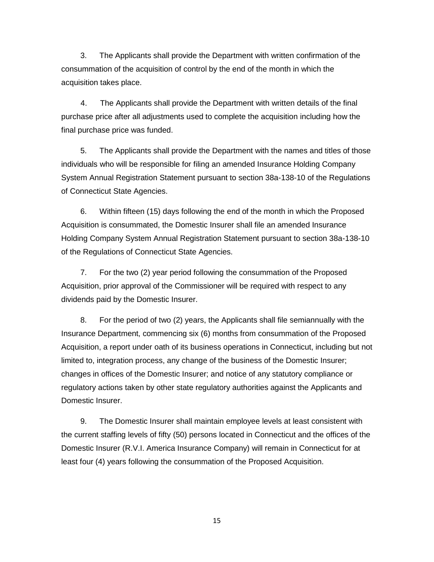3. The Applicants shall provide the Department with written confirmation of the consummation of the acquisition of control by the end of the month in which the acquisition takes place.

4. The Applicants shall provide the Department with written details of the final purchase price after all adjustments used to complete the acquisition including how the final purchase price was funded.

5. The Applicants shall provide the Department with the names and titles of those individuals who will be responsible for filing an amended Insurance Holding Company System Annual Registration Statement pursuant to section 38a-138-10 of the Regulations of Connecticut State Agencies.

6. Within fifteen (15) days following the end of the month in which the Proposed Acquisition is consummated, the Domestic Insurer shall file an amended Insurance Holding Company System Annual Registration Statement pursuant to section 38a-138-10 of the Regulations of Connecticut State Agencies.

7. For the two (2) year period following the consummation of the Proposed Acquisition, prior approval of the Commissioner will be required with respect to any dividends paid by the Domestic Insurer.

8. For the period of two (2) years, the Applicants shall file semiannually with the Insurance Department, commencing six (6) months from consummation of the Proposed Acquisition, a report under oath of its business operations in Connecticut, including but not limited to, integration process, any change of the business of the Domestic Insurer; changes in offices of the Domestic Insurer; and notice of any statutory compliance or regulatory actions taken by other state regulatory authorities against the Applicants and Domestic Insurer.

9. The Domestic Insurer shall maintain employee levels at least consistent with the current staffing levels of fifty (50) persons located in Connecticut and the offices of the Domestic Insurer (R.V.I. America Insurance Company) will remain in Connecticut for at least four (4) years following the consummation of the Proposed Acquisition.

15